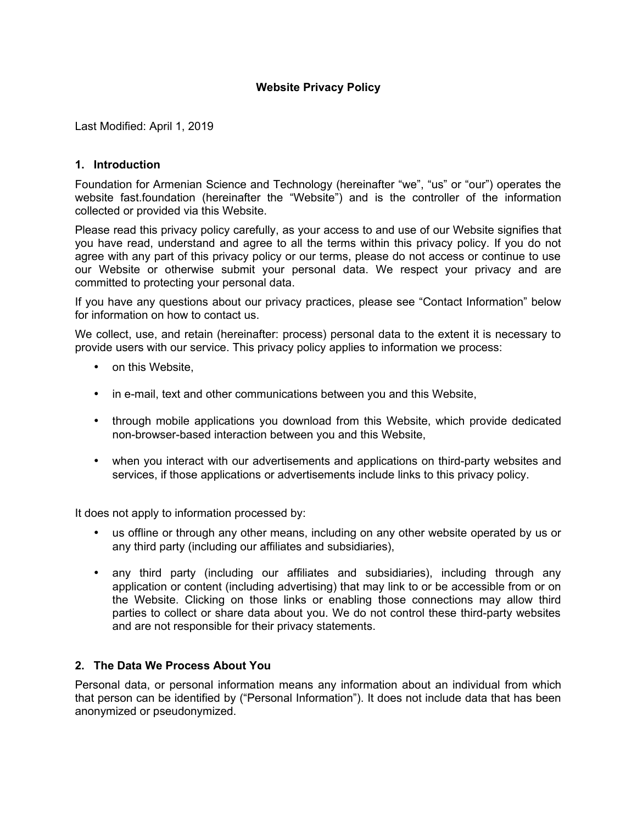Last Modified: April 1, 2019

#### **1. Introduction**

Foundation for Armenian Science and Technology (hereinafter "we", "us" or "our") operates the website fast.foundation (hereinafter the "Website") and is the controller of the information collected or provided via this Website.

Please read this privacy policy carefully, as your access to and use of our Website signifies that you have read, understand and agree to all the terms within this privacy policy. If you do not agree with any part of this privacy policy or our terms, please do not access or continue to use our Website or otherwise submit your personal data. We respect your privacy and are committed to protecting your personal data.

If you have any questions about our privacy practices, please see "Contact Information" below for information on how to contact us.

We collect, use, and retain (hereinafter: process) personal data to the extent it is necessary to provide users with our service. This privacy policy applies to information we process:

- on this Website.
- in e-mail, text and other communications between you and this Website,
- through mobile applications you download from this Website, which provide dedicated non-browser-based interaction between you and this Website,
- when you interact with our advertisements and applications on third-party websites and services, if those applications or advertisements include links to this privacy policy.

It does not apply to information processed by:

- us offline or through any other means, including on any other website operated by us or any third party (including our affiliates and subsidiaries),
- any third party (including our affiliates and subsidiaries), including through any application or content (including advertising) that may link to or be accessible from or on the Website. Clicking on those links or enabling those connections may allow third parties to collect or share data about you. We do not control these third-party websites and are not responsible for their privacy statements.

# **2. The Data We Process About You**

Personal data, or personal information means any information about an individual from which that person can be identified by ("Personal Information"). It does not include data that has been anonymized or pseudonymized.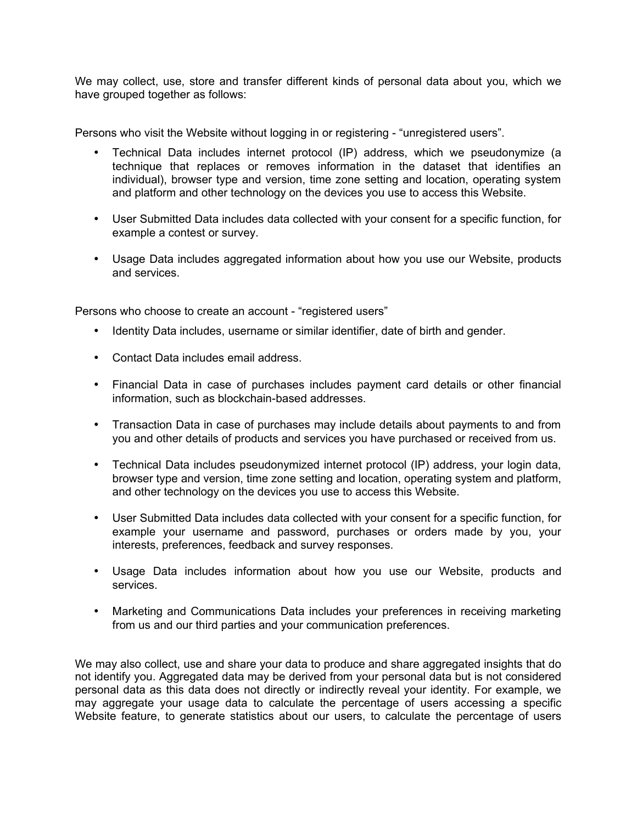We may collect, use, store and transfer different kinds of personal data about you, which we have grouped together as follows:

Persons who visit the Website without logging in or registering - "unregistered users".

- Technical Data includes internet protocol (IP) address, which we pseudonymize (a technique that replaces or removes information in the dataset that identifies an individual), browser type and version, time zone setting and location, operating system and platform and other technology on the devices you use to access this Website.
- User Submitted Data includes data collected with your consent for a specific function, for example a contest or survey.
- Usage Data includes aggregated information about how you use our Website, products and services.

Persons who choose to create an account - "registered users"

- Identity Data includes, username or similar identifier, date of birth and gender.
- Contact Data includes email address.
- Financial Data in case of purchases includes payment card details or other financial information, such as blockchain-based addresses.
- Transaction Data in case of purchases may include details about payments to and from you and other details of products and services you have purchased or received from us.
- Technical Data includes pseudonymized internet protocol (IP) address, your login data, browser type and version, time zone setting and location, operating system and platform, and other technology on the devices you use to access this Website.
- User Submitted Data includes data collected with your consent for a specific function, for example your username and password, purchases or orders made by you, your interests, preferences, feedback and survey responses.
- Usage Data includes information about how you use our Website, products and services.
- Marketing and Communications Data includes your preferences in receiving marketing from us and our third parties and your communication preferences.

We may also collect, use and share your data to produce and share aggregated insights that do not identify you. Aggregated data may be derived from your personal data but is not considered personal data as this data does not directly or indirectly reveal your identity. For example, we may aggregate your usage data to calculate the percentage of users accessing a specific Website feature, to generate statistics about our users, to calculate the percentage of users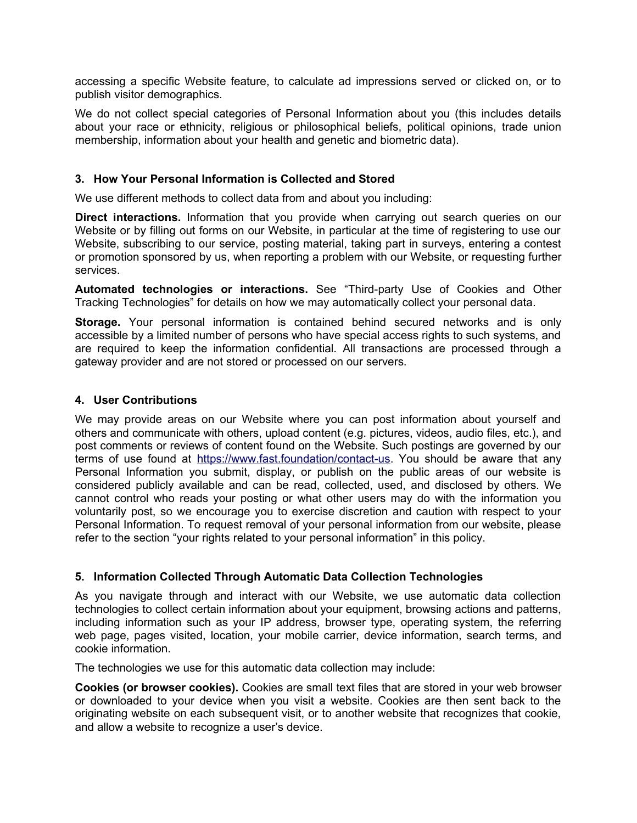accessing a specific Website feature, to calculate ad impressions served or clicked on, or to publish visitor demographics.

We do not collect special categories of Personal Information about you (this includes details about your race or ethnicity, religious or philosophical beliefs, political opinions, trade union membership, information about your health and genetic and biometric data).

# **3. How Your Personal Information is Collected and Stored**

We use different methods to collect data from and about you including:

**Direct interactions.** Information that you provide when carrying out search queries on our Website or by filling out forms on our Website, in particular at the time of registering to use our Website, subscribing to our service, posting material, taking part in surveys, entering a contest or promotion sponsored by us, when reporting a problem with our Website, or requesting further services.

**Automated technologies or interactions.** See "Third-party Use of Cookies and Other Tracking Technologies" for details on how we may automatically collect your personal data.

**Storage.** Your personal information is contained behind secured networks and is only accessible by a limited number of persons who have special access rights to such systems, and are required to keep the information confidential. All transactions are processed through a gateway provider and are not stored or processed on our servers.

#### **4. User Contributions**

We may provide areas on our Website where you can post information about yourself and others and communicate with others, upload content (e.g. pictures, videos, audio files, etc.), and post comments or reviews of content found on the Website. Such postings are governed by our terms of use found at<https://www.fast.foundation/contact-us>. You should be aware that any Personal Information you submit, display, or publish on the public areas of our website is considered publicly available and can be read, collected, used, and disclosed by others. We cannot control who reads your posting or what other users may do with the information you voluntarily post, so we encourage you to exercise discretion and caution with respect to your Personal Information. To request removal of your personal information from our website, please refer to the section "your rights related to your personal information" in this policy.

# **5. Information Collected Through Automatic Data Collection Technologies**

As you navigate through and interact with our Website, we use automatic data collection technologies to collect certain information about your equipment, browsing actions and patterns, including information such as your IP address, browser type, operating system, the referring web page, pages visited, location, your mobile carrier, device information, search terms, and cookie information.

The technologies we use for this automatic data collection may include:

**Cookies (or browser cookies).** Cookies are small text files that are stored in your web browser or downloaded to your device when you visit a website. Cookies are then sent back to the originating website on each subsequent visit, or to another website that recognizes that cookie, and allow a website to recognize a user's device.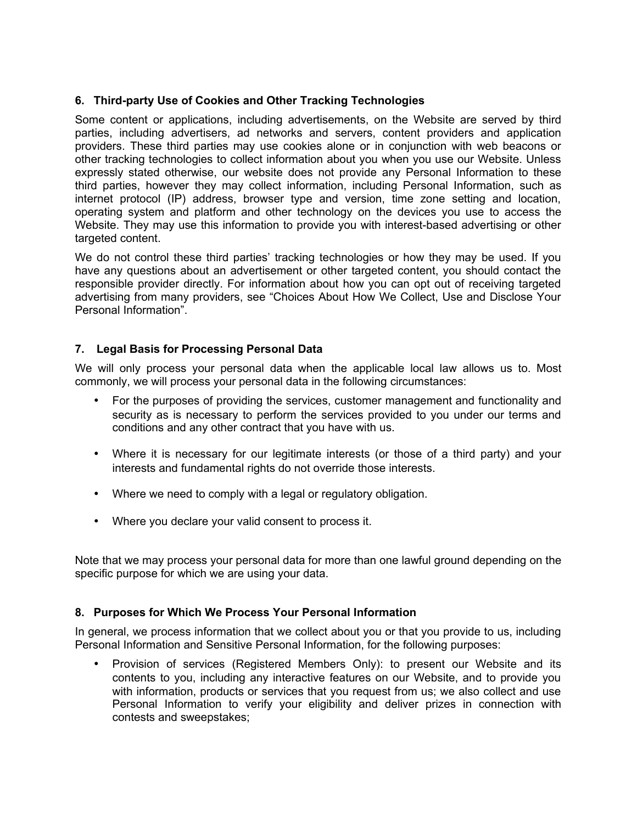# **6. Third-party Use of Cookies and Other Tracking Technologies**

Some content or applications, including advertisements, on the Website are served by third parties, including advertisers, ad networks and servers, content providers and application providers. These third parties may use cookies alone or in conjunction with web beacons or other tracking technologies to collect information about you when you use our Website. Unless expressly stated otherwise, our website does not provide any Personal Information to these third parties, however they may collect information, including Personal Information, such as internet protocol (IP) address, browser type and version, time zone setting and location, operating system and platform and other technology on the devices you use to access the Website. They may use this information to provide you with interest-based advertising or other targeted content.

We do not control these third parties' tracking technologies or how they may be used. If you have any questions about an advertisement or other targeted content, you should contact the responsible provider directly. For information about how you can opt out of receiving targeted advertising from many providers, see "Choices About How We Collect, Use and Disclose Your Personal Information".

# **7. Legal Basis for Processing Personal Data**

We will only process your personal data when the applicable local law allows us to. Most commonly, we will process your personal data in the following circumstances:

- For the purposes of providing the services, customer management and functionality and security as is necessary to perform the services provided to you under our terms and conditions and any other contract that you have with us.
- Where it is necessary for our legitimate interests (or those of a third party) and your interests and fundamental rights do not override those interests.
- Where we need to comply with a legal or regulatory obligation.
- Where you declare your valid consent to process it.

Note that we may process your personal data for more than one lawful ground depending on the specific purpose for which we are using your data.

# **8. Purposes for Which We Process Your Personal Information**

In general, we process information that we collect about you or that you provide to us, including Personal Information and Sensitive Personal Information, for the following purposes:

• Provision of services (Registered Members Only): to present our Website and its contents to you, including any interactive features on our Website, and to provide you with information, products or services that you request from us; we also collect and use Personal Information to verify your eligibility and deliver prizes in connection with contests and sweepstakes;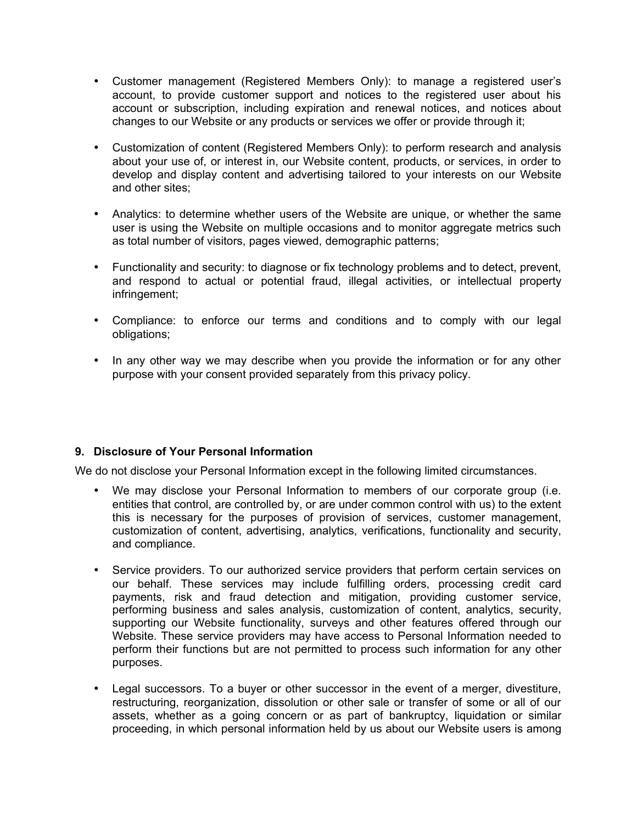- Customer management (Registered Members Only): to manage a registered user's account, to provide customer support and notices to the registered user about his account or subscription, including expiration and renewal notices, and notices about changes to our Website or any products or services we offer or provide through it;
- Customization of content (Registered Members Only): to perform research and analysis about your use of, or interest in, our Website content, products, or services, in order to develop and display content and advertising tailored to your interests on our Website and other sites;
- Analytics: to determine whether users of the Website are unique, or whether the same user is using the Website on multiple occasions and to monitor aggregate metrics such as total number of visitors, pages viewed, demographic patterns;
- Functionality and security: to diagnose or fix technology problems and to detect, prevent, and respond to actual or potential fraud, illegal activities, or intellectual property infringement;
- Compliance: to enforce our terms and conditions and to comply with our legal obligations;
- In any other way we may describe when you provide the information or for any other purpose with your consent provided separately from this privacy policy.

# **9. Disclosure of Your Personal Information**

We do not disclose your Personal Information except in the following limited circumstances.

- We may disclose your Personal Information to members of our corporate group (i.e. entities that control, are controlled by, or are under common control with us) to the extent this is necessary for the purposes of provision of services, customer management, customization of content, advertising, analytics, verifications, functionality and security, and compliance.
- Service providers. To our authorized service providers that perform certain services on our behalf. These services may include fulfilling orders, processing credit card payments, risk and fraud detection and mitigation, providing customer service, performing business and sales analysis, customization of content, analytics, security, supporting our Website functionality, surveys and other features offered through our Website. These service providers may have access to Personal Information needed to perform their functions but are not permitted to process such information for any other purposes.
- Legal successors. To a buyer or other successor in the event of a merger, divestiture, restructuring, reorganization, dissolution or other sale or transfer of some or all of our assets, whether as a going concern or as part of bankruptcy, liquidation or similar proceeding, in which personal information held by us about our Website users is among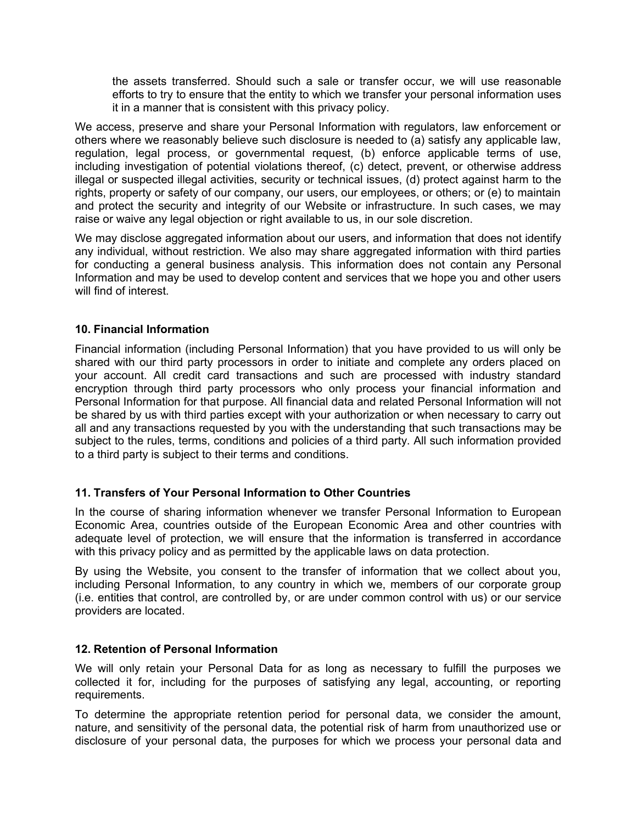the assets transferred. Should such a sale or transfer occur, we will use reasonable efforts to try to ensure that the entity to which we transfer your personal information uses it in a manner that is consistent with this privacy policy.

We access, preserve and share your Personal Information with regulators, law enforcement or others where we reasonably believe such disclosure is needed to (a) satisfy any applicable law, regulation, legal process, or governmental request, (b) enforce applicable terms of use, including investigation of potential violations thereof, (c) detect, prevent, or otherwise address illegal or suspected illegal activities, security or technical issues, (d) protect against harm to the rights, property or safety of our company, our users, our employees, or others; or (e) to maintain and protect the security and integrity of our Website or infrastructure. In such cases, we may raise or waive any legal objection or right available to us, in our sole discretion.

We may disclose aggregated information about our users, and information that does not identify any individual, without restriction. We also may share aggregated information with third parties for conducting a general business analysis. This information does not contain any Personal Information and may be used to develop content and services that we hope you and other users will find of interest.

# **10. Financial Information**

Financial information (including Personal Information) that you have provided to us will only be shared with our third party processors in order to initiate and complete any orders placed on your account. All credit card transactions and such are processed with industry standard encryption through third party processors who only process your financial information and Personal Information for that purpose. All financial data and related Personal Information will not be shared by us with third parties except with your authorization or when necessary to carry out all and any transactions requested by you with the understanding that such transactions may be subject to the rules, terms, conditions and policies of a third party. All such information provided to a third party is subject to their terms and conditions.

# **11. Transfers of Your Personal Information to Other Countries**

In the course of sharing information whenever we transfer Personal Information to European Economic Area, countries outside of the European Economic Area and other countries with adequate level of protection, we will ensure that the information is transferred in accordance with this privacy policy and as permitted by the applicable laws on data protection.

By using the Website, you consent to the transfer of information that we collect about you, including Personal Information, to any country in which we, members of our corporate group (i.e. entities that control, are controlled by, or are under common control with us) or our service providers are located.

# **12. Retention of Personal Information**

We will only retain your Personal Data for as long as necessary to fulfill the purposes we collected it for, including for the purposes of satisfying any legal, accounting, or reporting requirements.

To determine the appropriate retention period for personal data, we consider the amount, nature, and sensitivity of the personal data, the potential risk of harm from unauthorized use or disclosure of your personal data, the purposes for which we process your personal data and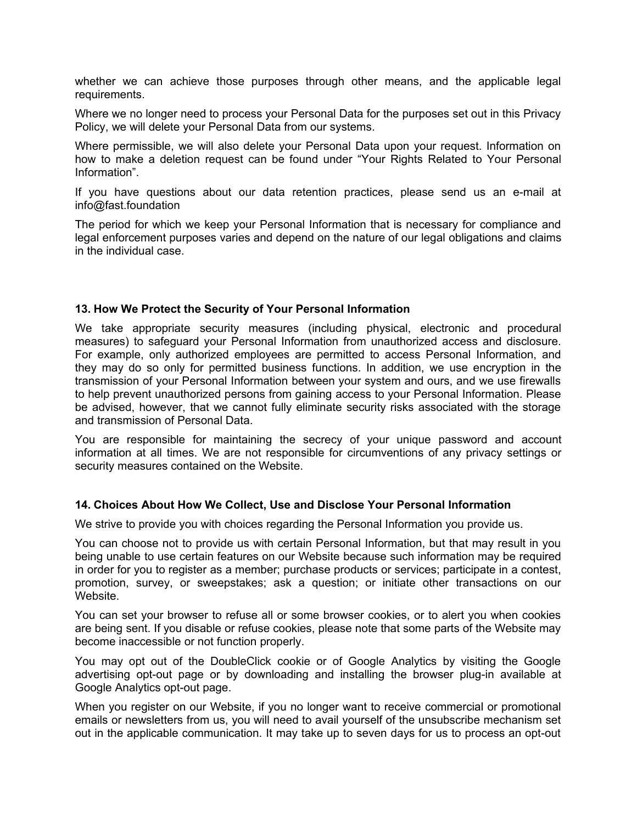whether we can achieve those purposes through other means, and the applicable legal requirements.

Where we no longer need to process your Personal Data for the purposes set out in this Privacy Policy, we will delete your Personal Data from our systems.

Where permissible, we will also delete your Personal Data upon your request. Information on how to make a deletion request can be found under "Your Rights Related to Your Personal Information".

If you have questions about our data retention practices, please send us an e-mail at info@fast.foundation

The period for which we keep your Personal Information that is necessary for compliance and legal enforcement purposes varies and depend on the nature of our legal obligations and claims in the individual case.

#### **13. How We Protect the Security of Your Personal Information**

We take appropriate security measures (including physical, electronic and procedural measures) to safeguard your Personal Information from unauthorized access and disclosure. For example, only authorized employees are permitted to access Personal Information, and they may do so only for permitted business functions. In addition, we use encryption in the transmission of your Personal Information between your system and ours, and we use firewalls to help prevent unauthorized persons from gaining access to your Personal Information. Please be advised, however, that we cannot fully eliminate security risks associated with the storage and transmission of Personal Data.

You are responsible for maintaining the secrecy of your unique password and account information at all times. We are not responsible for circumventions of any privacy settings or security measures contained on the Website.

#### **14. Choices About How We Collect, Use and Disclose Your Personal Information**

We strive to provide you with choices regarding the Personal Information you provide us.

You can choose not to provide us with certain Personal Information, but that may result in you being unable to use certain features on our Website because such information may be required in order for you to register as a member; purchase products or services; participate in a contest, promotion, survey, or sweepstakes; ask a question; or initiate other transactions on our Website.

You can set your browser to refuse all or some browser cookies, or to alert you when cookies are being sent. If you disable or refuse cookies, please note that some parts of the Website may become inaccessible or not function properly.

You may opt out of the DoubleClick cookie or of Google Analytics by visiting the Google advertising opt-out page or by downloading and installing the browser plug-in available at Google Analytics opt-out page.

When you register on our Website, if you no longer want to receive commercial or promotional emails or newsletters from us, you will need to avail yourself of the unsubscribe mechanism set out in the applicable communication. It may take up to seven days for us to process an opt-out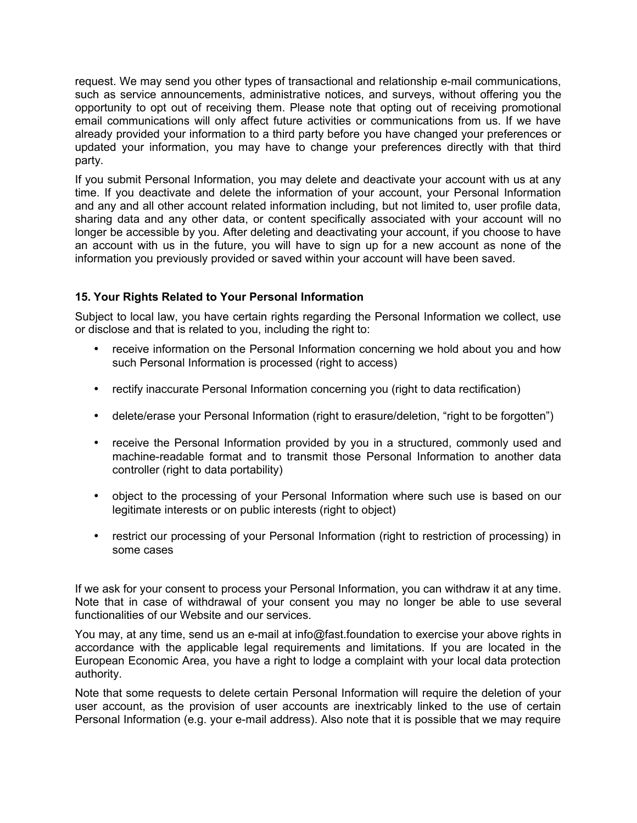request. We may send you other types of transactional and relationship e-mail communications, such as service announcements, administrative notices, and surveys, without offering you the opportunity to opt out of receiving them. Please note that opting out of receiving promotional email communications will only affect future activities or communications from us. If we have already provided your information to a third party before you have changed your preferences or updated your information, you may have to change your preferences directly with that third party.

If you submit Personal Information, you may delete and deactivate your account with us at any time. If you deactivate and delete the information of your account, your Personal Information and any and all other account related information including, but not limited to, user profile data, sharing data and any other data, or content specifically associated with your account will no longer be accessible by you. After deleting and deactivating your account, if you choose to have an account with us in the future, you will have to sign up for a new account as none of the information you previously provided or saved within your account will have been saved.

# **15. Your Rights Related to Your Personal Information**

Subject to local law, you have certain rights regarding the Personal Information we collect, use or disclose and that is related to you, including the right to:

- receive information on the Personal Information concerning we hold about you and how such Personal Information is processed (right to access)
- rectify inaccurate Personal Information concerning you (right to data rectification)
- delete/erase your Personal Information (right to erasure/deletion, "right to be forgotten")
- receive the Personal Information provided by you in a structured, commonly used and machine-readable format and to transmit those Personal Information to another data controller (right to data portability)
- object to the processing of your Personal Information where such use is based on our legitimate interests or on public interests (right to object)
- restrict our processing of your Personal Information (right to restriction of processing) in some cases

If we ask for your consent to process your Personal Information, you can withdraw it at any time. Note that in case of withdrawal of your consent you may no longer be able to use several functionalities of our Website and our services.

You may, at any time, send us an e-mail at info@fast.foundation to exercise your above rights in accordance with the applicable legal requirements and limitations. If you are located in the European Economic Area, you have a right to lodge a complaint with your local data protection authority.

Note that some requests to delete certain Personal Information will require the deletion of your user account, as the provision of user accounts are inextricably linked to the use of certain Personal Information (e.g. your e-mail address). Also note that it is possible that we may require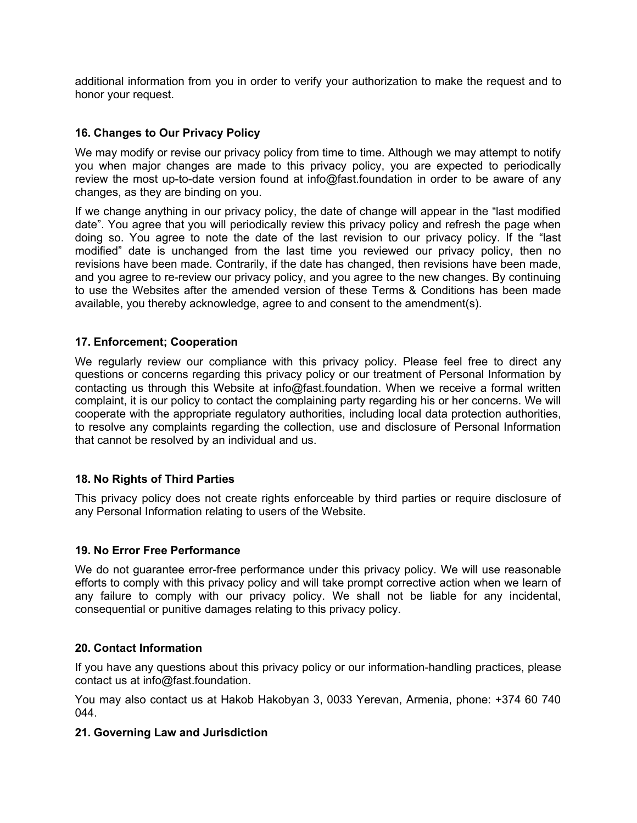additional information from you in order to verify your authorization to make the request and to honor your request.

#### **16. Changes to Our Privacy Policy**

We may modify or revise our privacy policy from time to time. Although we may attempt to notify you when major changes are made to this privacy policy, you are expected to periodically review the most up-to-date version found at info@fast.foundation in order to be aware of any changes, as they are binding on you.

If we change anything in our privacy policy, the date of change will appear in the "last modified date". You agree that you will periodically review this privacy policy and refresh the page when doing so. You agree to note the date of the last revision to our privacy policy. If the "last modified" date is unchanged from the last time you reviewed our privacy policy, then no revisions have been made. Contrarily, if the date has changed, then revisions have been made, and you agree to re-review our privacy policy, and you agree to the new changes. By continuing to use the Websites after the amended version of these Terms & Conditions has been made available, you thereby acknowledge, agree to and consent to the amendment(s).

#### **17. Enforcement; Cooperation**

We regularly review our compliance with this privacy policy. Please feel free to direct any questions or concerns regarding this privacy policy or our treatment of Personal Information by contacting us through this Website at info@fast.foundation. When we receive a formal written complaint, it is our policy to contact the complaining party regarding his or her concerns. We will cooperate with the appropriate regulatory authorities, including local data protection authorities, to resolve any complaints regarding the collection, use and disclosure of Personal Information that cannot be resolved by an individual and us.

#### **18. No Rights of Third Parties**

This privacy policy does not create rights enforceable by third parties or require disclosure of any Personal Information relating to users of the Website.

#### **19. No Error Free Performance**

We do not guarantee error-free performance under this privacy policy. We will use reasonable efforts to comply with this privacy policy and will take prompt corrective action when we learn of any failure to comply with our privacy policy. We shall not be liable for any incidental, consequential or punitive damages relating to this privacy policy.

#### **20. Contact Information**

If you have any questions about this privacy policy or our information-handling practices, please contact us at info@fast.foundation.

You may also contact us at Hakob Hakobyan 3, 0033 Yerevan, Armenia, phone: +374 60 740 044.

# **21. Governing Law and Jurisdiction**